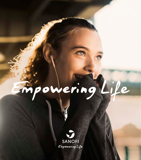## owering Life **Ring**

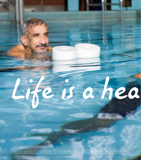# Life is a health journey

Design and production: Sanofi Communications Department and BABEL. October 2017. Cover: Cultura RM Exclusive/Edwin Jimenez/GettyImages; p.2-3: Peter Samuels/GettyImages;<br>p.4: Katarina Premfors/GettyImages; p.6-7: Han Lans/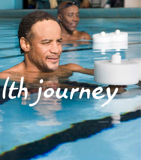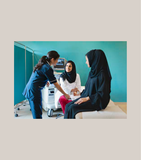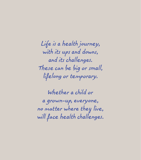Life is a health journey, with its ups and downs, and its challenges. These can be big or small, lifelong or temporary.

Whether a child or a grown-up, everyone, no matter where they live, will face health challenges.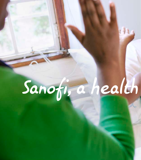# Sanofi, a health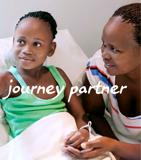# journe) partner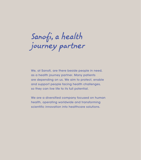Sanofi, a health journey partner

We, at Sanofi, are there beside people in need, as a health journey partner. Many patients are depending on us. We aim to protect, enable and support people facing health challenges, so they can live life to its full potential.

We are a diversified company focused on human health, operating worldwide and transforming scientific innovation into healthcare solutions.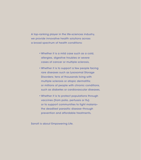A top-ranking player in the life-sciences industry, we provide innovative health solutions across a broad spectrum of health conditions:

- Whether it is a mild case such as a cold, allergies, digestive troubles or severe cases of cancer or multiple sclerosis,
- Whether it is to support a few people facing rare diseases such as Lysosomal Storage Disorders; tens of thousands living with multiple sclerosis or atopic dermatitis; or millions of people with chronic conditions, such as diabetes or cardiovascular diseases,
- Whether it is to protect populations through vaccines (from polio, pertussis or flu) or to support communities to fight malaria– the deadliest parasitic disease–through prevention and affordable treatments,

Sanofi is about Empowering Life.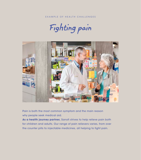Fighting pain



Pain is both the most common symptom and the main reason why people seek medical aid.

**As a health journey partner,** Sanofi strives to help relieve pain both for children and adults. Our range of pain relievers varies, from over the counter pills to injectable medicines, all helping to fight pain.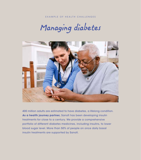Managing diabetes



400 million adults are estimated to have diabetes, a lifelong condition. **As a health journey partner,** Sanofi has been developing insulin treatments for close to a century. We provide a comprehensive portfolio of different diabetes medicines, including insulins, to lower blood sugar level. More than 50% of people on once daily basal insulin treatments are supported by Sanofi.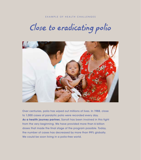## Close to eradicating polio



Over centuries, polio has wiped out millions of lives. In 1988, close to 1,000 cases of paralytic polio were recorded every day. **As a health journey partner,** Sanofi has been involved in this fight from the very beginning. We have provided more than 6 billion doses that made the final stage of the program possible. Today, the number of cases has decreased by more than 99% globally. We could be soon living in a polio-free world.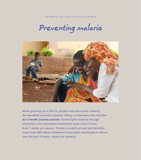Preventing malaria



When growing up in Africa, people may encounter malaria, the deadliest parasitic disease, killing a child every two minutes. **As a health journey partner,** Sanofi fights malaria through prevention and affordable treatments: even down to less than 1 dollar per person. Thanks to public-private partnerships, more than 400 million treatments have been distributed in Africa over the last 10 years, mostly for children.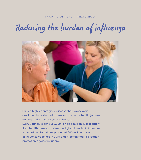## Reducing the burden of influenza



Flu is a highly contagious disease that, every year, one in ten individual will come across on his health journey, namely in North America and Europe. Every year, flu claims 250,000 to half a million lives globally. **As a health journey partner** and global leader in influenza vaccination, Sanofi has produced 200 million doses of influenza vaccines in 2016 and is committed to broaden protection against influenza.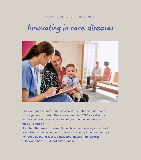### Innovating in rare diseases



Life is a health journey that for some starts with being born with a rare genetic disorder. There are more than 7,000 rare diseases in the world, and 30% of children affected die before reaching their 5<sup>th</sup> birthday.

**As a health journey partner,** Sanofi has been working on several rare diseases, including for example enzyme replacement therapy to treat Gaucher disease, considered an ultra-rare disease with fewer than 10,000 patients globally.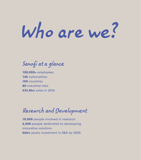# Who are we?

Sanofi at a glance

**100,000+** employees **145** nationalities **100** countries **80** industrial sites **€33.8bn** sales in 2016

Research and Development

**10,000** people involved in research **6,000** people dedicated to developing innovative solutions **€6bn** yearly investment in R&D by 2020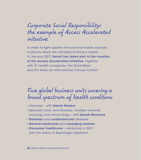#### Corporate Social Responsibility: the example of Access Accelerated initiative

In order to fight against non-communicable diseases in places where the standard of living is lowest, in January 2017, **Sanofi has taken part in the creation of the Access Accelerated initiative,** together with 21 health companies, the World Bank and the Union for International Cancer Control.

#### Five global business units covering a broad spectrum of health conditions

- Vaccines with **Sanofi Pasteur**
- Specialty care, rare diseases, multiple sclerosis, oncology and immunology – with **Sanofi Genzyme**
- **Diabetes** and **cardiovascular** diseases
- **General medicines** and **emerging markets**
- **Consumer healthcare** reinforced in 2017 with the teams of Boehringer Ingelheim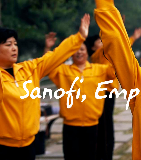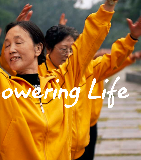